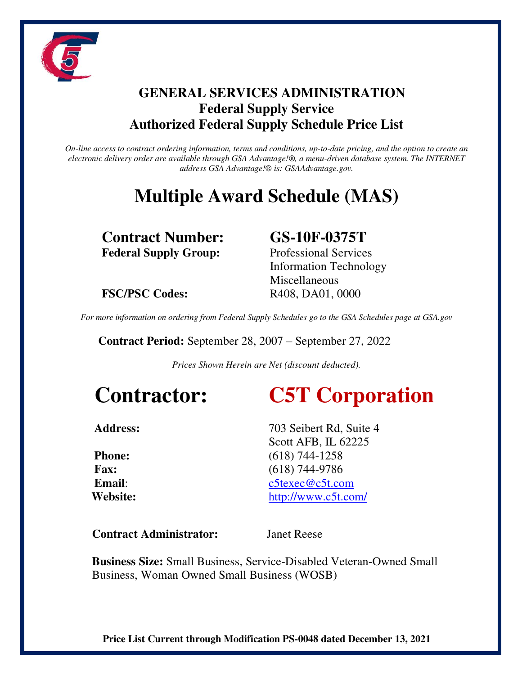

## **GENERAL SERVICES ADMINISTRATION Federal Supply Service Authorized Federal Supply Schedule Price List**

*On-line access to contract ordering information, terms and conditions, up-to-date pricing, and the option to create an electronic delivery order are available through GSA Advantage!®, a menu-driven database system. The INTERNET address GSA Advantage!® is: GSAAdvantage.gov.* 

# **Multiple Award Schedule (MAS)**

**Contract Number: GS-10F-0375T Federal Supply Group:** Professional Services

Information Technology Miscellaneous **FSC/PSC Codes:** R408, DA01, 0000

*For more information on ordering from Federal Supply Schedules go to the GSA Schedules page at GSA.gov* 

 **Contract Period:** September 28, 2007 – September 27, 2022

*Prices Shown Herein are Net (discount deducted).* 

# **Contractor: C5T Corporation**

Address: 703 Seibert Rd, Suite 4 Scott AFB, IL 62225 **Phone:** (618) 744-1258  **Fax:** (618) 744-9786  **Email**: [c5texec@c5t.com](mailto:c5texec@c5t.com)  **Website:** <http://www.c5t.com/>

**Contract Administrator:** Janet Reese

**Business Size:** Small Business, Service-Disabled Veteran-Owned Small Business, Woman Owned Small Business (WOSB)

**Price List Current through Modification PS-0048 dated December 13, 2021**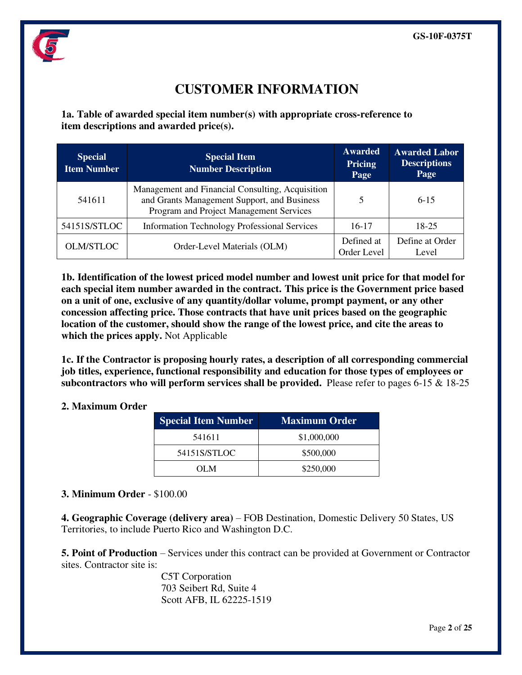

## **CUSTOMER INFORMATION**

**1a. Table of awarded special item number(s) with appropriate cross-reference to item descriptions and awarded price(s).** 

| <b>Special</b><br><b>Item Number</b> | <b>Special Item</b><br><b>Number Description</b>                                                                                           | <b>Awarded</b><br><b>Pricing</b><br>Page | <b>Awarded Labor</b><br><b>Descriptions</b><br>Page |
|--------------------------------------|--------------------------------------------------------------------------------------------------------------------------------------------|------------------------------------------|-----------------------------------------------------|
| 541611                               | Management and Financial Consulting, Acquisition<br>and Grants Management Support, and Business<br>Program and Project Management Services | 5                                        | $6-15$                                              |
| 54151S/STLOC                         | <b>Information Technology Professional Services</b>                                                                                        | $16-17$                                  | $18 - 25$                                           |
| <b>OLM/STLOC</b>                     | Order-Level Materials (OLM)                                                                                                                | Defined at<br>Order Level                | Define at Order<br>Level                            |

**1b. Identification of the lowest priced model number and lowest unit price for that model for each special item number awarded in the contract. This price is the Government price based on a unit of one, exclusive of any quantity/dollar volume, prompt payment, or any other concession affecting price. Those contracts that have unit prices based on the geographic location of the customer, should show the range of the lowest price, and cite the areas to which the prices apply.** Not Applicable

**1c. If the Contractor is proposing hourly rates, a description of all corresponding commercial job titles, experience, functional responsibility and education for those types of employees or subcontractors who will perform services shall be provided.** Please refer to pages 6-15 & 18-25

#### **2. Maximum Order**

| <b>Special Item Number</b> | <b>Maximum Order</b> |
|----------------------------|----------------------|
| 541611                     | \$1,000,000          |
| 54151S/STLOC               | \$500,000            |
| OL M                       | \$250,000            |

### **3. Minimum Order** - \$100.00

**4. Geographic Coverage (delivery area)** – FOB Destination, Domestic Delivery 50 States, US Territories, to include Puerto Rico and Washington D.C.

**5. Point of Production** – Services under this contract can be provided at Government or Contractor sites. Contractor site is:

> C5T Corporation 703 Seibert Rd, Suite 4 Scott AFB, IL 62225-1519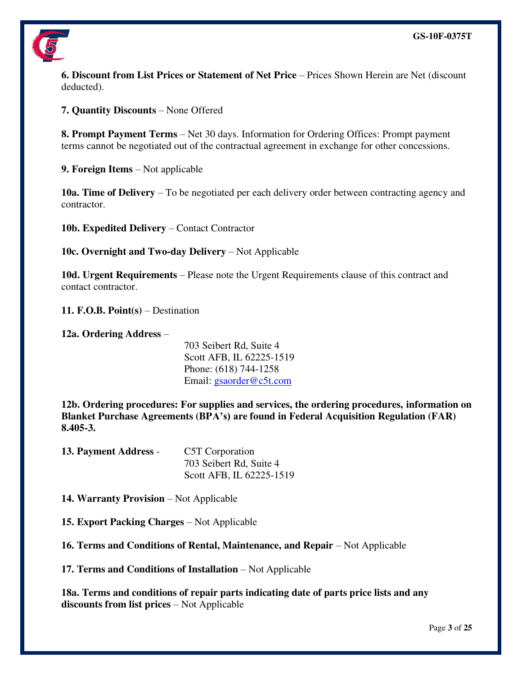

**6. Discount from List Prices or Statement of Net Price** – Prices Shown Herein are Net (discount deducted).

**7. Quantity Discounts** – None Offered

**8. Prompt Payment Terms** – Net 30 days. Information for Ordering Offices: Prompt payment terms cannot be negotiated out of the contractual agreement in exchange for other concessions.

**9. Foreign Items** – Not applicable

**10a. Time of Delivery** – To be negotiated per each delivery order between contracting agency and contractor.

**10b. Expedited Delivery** – Contact Contractor

**10c. Overnight and Two-day Delivery** – Not Applicable

**10d. Urgent Requirements** – Please note the Urgent Requirements clause of this contract and contact contractor.

**11. F.O.B. Point(s)** – Destination

**12a. Ordering Address** –

703 Seibert Rd, Suite 4 Scott AFB, IL 62225-1519 Phone: (618) 744-1258 Email: [gsaorder@c5t.com](mailto:gsaorder@c5t.com)

**12b. Ordering procedures: For supplies and services, the ordering procedures, information on Blanket Purchase Agreements (BPA's) are found in Federal Acquisition Regulation (FAR) 8.405-3.**

| 13. Payment Address - | C5T Corporation          |
|-----------------------|--------------------------|
|                       | 703 Seibert Rd, Suite 4  |
|                       | Scott AFB, IL 62225-1519 |

**14. Warranty Provision** – Not Applicable

**15. Export Packing Charges** – Not Applicable

**16. Terms and Conditions of Rental, Maintenance, and Repair** – Not Applicable

**17. Terms and Conditions of Installation** – Not Applicable

**18a. Terms and conditions of repair parts indicating date of parts price lists and any discounts from list prices** – Not Applicable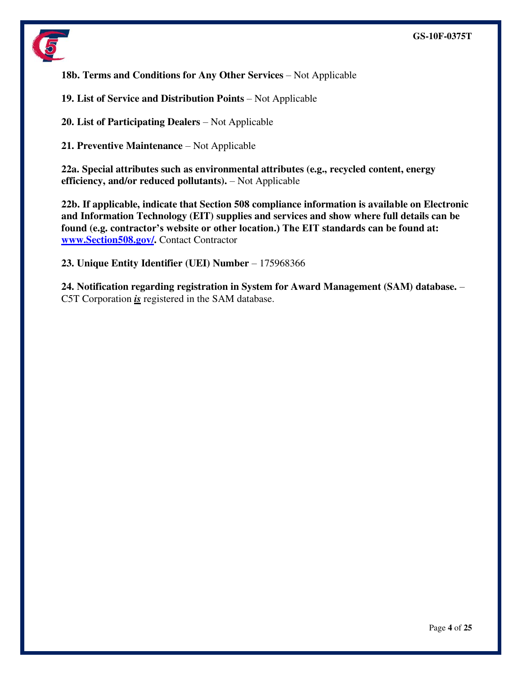

**18b. Terms and Conditions for Any Other Services** – Not Applicable

**19. List of Service and Distribution Points** – Not Applicable

**20. List of Participating Dealers** – Not Applicable

**21. Preventive Maintenance** – Not Applicable

**22a. Special attributes such as environmental attributes (e.g., recycled content, energy efficiency, and/or reduced pollutants).** – Not Applicable

**22b. If applicable, indicate that Section 508 compliance information is available on Electronic and Information Technology (EIT) supplies and services and show where full details can be found (e.g. contractor's website or other location.) The EIT standards can be found at: [www.Section508.gov/.](http://www.section508.gov/)** Contact Contractor

**23. Unique Entity Identifier (UEI) Number** – 175968366

**24. Notification regarding registration in System for Award Management (SAM) database.** – C5T Corporation *is* registered in the SAM database.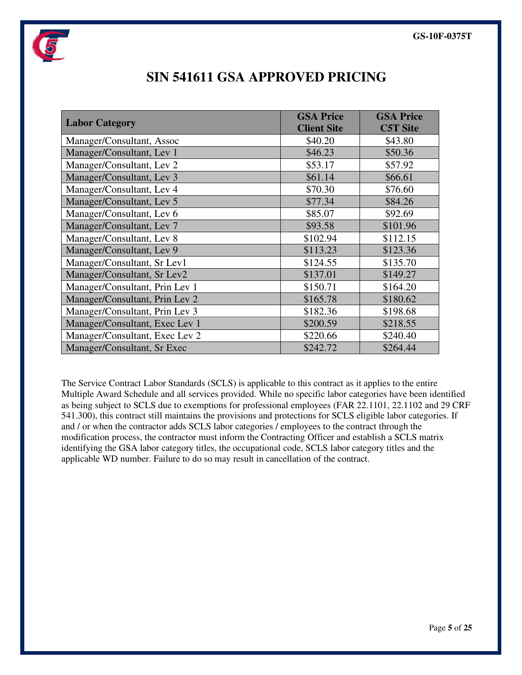

| <b>Labor Category</b>          | <b>GSA Price</b><br><b>Client Site</b> | <b>GSA Price</b><br><b>C5T Site</b> |
|--------------------------------|----------------------------------------|-------------------------------------|
| Manager/Consultant, Assoc      | \$40.20                                | \$43.80                             |
| Manager/Consultant, Lev 1      | \$46.23                                | \$50.36                             |
| Manager/Consultant, Lev 2      | \$53.17                                | \$57.92                             |
| Manager/Consultant, Lev 3      | \$61.14                                | \$66.61                             |
| Manager/Consultant, Lev 4      | \$70.30                                | \$76.60                             |
| Manager/Consultant, Lev 5      | \$77.34                                | \$84.26                             |
| Manager/Consultant, Lev 6      | \$85.07                                | \$92.69                             |
| Manager/Consultant, Lev 7      | \$93.58                                | \$101.96                            |
| Manager/Consultant, Lev 8      | \$102.94                               | \$112.15                            |
| Manager/Consultant, Lev 9      | \$113.23                               | \$123.36                            |
| Manager/Consultant, Sr Lev1    | \$124.55                               | \$135.70                            |
| Manager/Consultant, Sr Lev2    | \$137.01                               | \$149.27                            |
| Manager/Consultant, Prin Lev 1 | \$150.71                               | \$164.20                            |
| Manager/Consultant, Prin Lev 2 | \$165.78                               | \$180.62                            |
| Manager/Consultant, Prin Lev 3 | \$182.36                               | \$198.68                            |
| Manager/Consultant, Exec Lev 1 | \$200.59                               | \$218.55                            |
| Manager/Consultant, Exec Lev 2 | \$220.66                               | \$240.40                            |
| Manager/Consultant, Sr Exec    | \$242.72                               | \$264.44                            |

## **SIN 541611 GSA APPROVED PRICING**

The Service Contract Labor Standards (SCLS) is applicable to this contract as it applies to the entire Multiple Award Schedule and all services provided. While no specific labor categories have been identified as being subject to SCLS due to exemptions for professional employees (FAR 22.1101, 22.1102 and 29 CRF 541.300), this contract still maintains the provisions and protections for SCLS eligible labor categories. If and / or when the contractor adds SCLS labor categories / employees to the contract through the modification process, the contractor must inform the Contracting Officer and establish a SCLS matrix identifying the GSA labor category titles, the occupational code, SCLS labor category titles and the applicable WD number. Failure to do so may result in cancellation of the contract.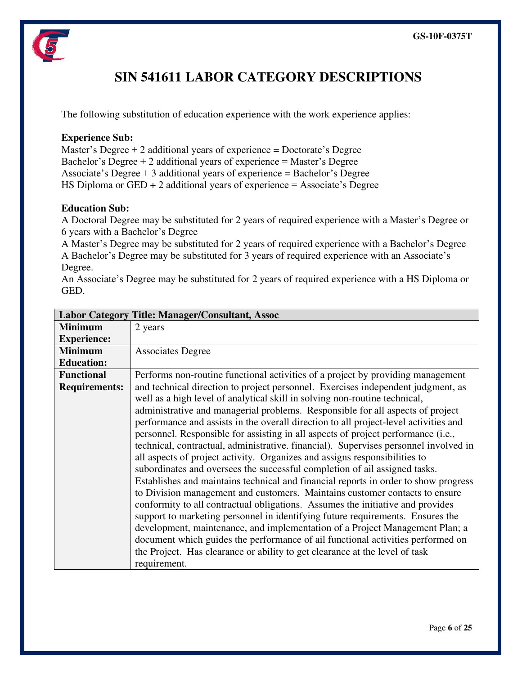

## **SIN 541611 LABOR CATEGORY DESCRIPTIONS**

The following substitution of education experience with the work experience applies:

#### **Experience Sub:**

Master's Degree  $+2$  additional years of experience = Doctorate's Degree Bachelor's Degree  $+ 2$  additional years of experience  $=$  Master's Degree Associate's Degree  $+3$  additional years of experience  $=$  Bachelor's Degree HS Diploma or  $GED + 2$  additional years of experience = Associate's Degree

#### **Education Sub:**

A Doctoral Degree may be substituted for 2 years of required experience with a Master's Degree or 6 years with a Bachelor's Degree

A Master's Degree may be substituted for 2 years of required experience with a Bachelor's Degree A Bachelor's Degree may be substituted for 3 years of required experience with an Associate's Degree.

An Associate's Degree may be substituted for 2 years of required experience with a HS Diploma or GED.

|                      | <b>Labor Category Title: Manager/Consultant, Assoc</b>                               |
|----------------------|--------------------------------------------------------------------------------------|
| <b>Minimum</b>       | 2 years                                                                              |
| <b>Experience:</b>   |                                                                                      |
| <b>Minimum</b>       | <b>Associates Degree</b>                                                             |
| <b>Education:</b>    |                                                                                      |
| <b>Functional</b>    | Performs non-routine functional activities of a project by providing management      |
| <b>Requirements:</b> | and technical direction to project personnel. Exercises independent judgment, as     |
|                      | well as a high level of analytical skill in solving non-routine technical,           |
|                      | administrative and managerial problems. Responsible for all aspects of project       |
|                      | performance and assists in the overall direction to all project-level activities and |
|                      | personnel. Responsible for assisting in all aspects of project performance (i.e.,    |
|                      | technical, contractual, administrative. financial). Supervises personnel involved in |
|                      | all aspects of project activity. Organizes and assigns responsibilities to           |
|                      | subordinates and oversees the successful completion of ail assigned tasks.           |
|                      | Establishes and maintains technical and financial reports in order to show progress  |
|                      | to Division management and customers. Maintains customer contacts to ensure          |
|                      | conformity to all contractual obligations. Assumes the initiative and provides       |
|                      | support to marketing personnel in identifying future requirements. Ensures the       |
|                      | development, maintenance, and implementation of a Project Management Plan; a         |
|                      | document which guides the performance of ail functional activities performed on      |
|                      | the Project. Has clearance or ability to get clearance at the level of task          |
|                      | requirement.                                                                         |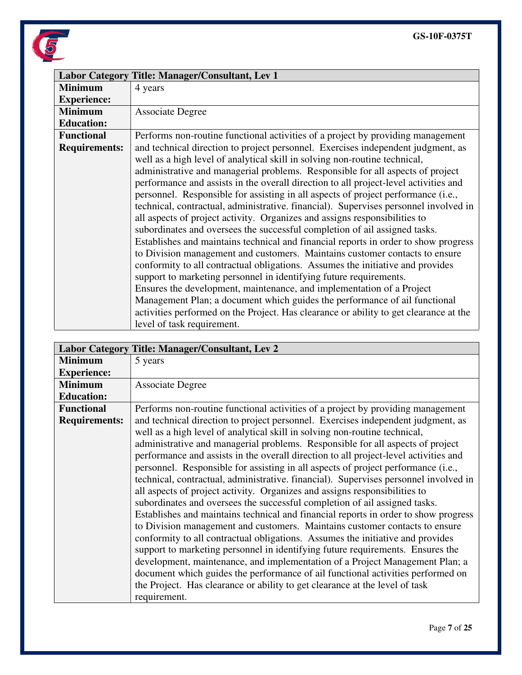

|                      | Labor Category Title: Manager/Consultant, Lev 1                                       |
|----------------------|---------------------------------------------------------------------------------------|
| <b>Minimum</b>       | 4 years                                                                               |
| <b>Experience:</b>   |                                                                                       |
| <b>Minimum</b>       | <b>Associate Degree</b>                                                               |
| <b>Education:</b>    |                                                                                       |
| <b>Functional</b>    | Performs non-routine functional activities of a project by providing management       |
| <b>Requirements:</b> | and technical direction to project personnel. Exercises independent judgment, as      |
|                      | well as a high level of analytical skill in solving non-routine technical,            |
|                      | administrative and managerial problems. Responsible for all aspects of project        |
|                      | performance and assists in the overall direction to all project-level activities and  |
|                      | personnel. Responsible for assisting in all aspects of project performance (i.e.,     |
|                      | technical, contractual, administrative. financial). Supervises personnel involved in  |
|                      | all aspects of project activity. Organizes and assigns responsibilities to            |
|                      | subordinates and oversees the successful completion of ail assigned tasks.            |
|                      | Establishes and maintains technical and financial reports in order to show progress   |
|                      | to Division management and customers. Maintains customer contacts to ensure           |
|                      | conformity to all contractual obligations. Assumes the initiative and provides        |
|                      | support to marketing personnel in identifying future requirements.                    |
|                      | Ensures the development, maintenance, and implementation of a Project                 |
|                      | Management Plan; a document which guides the performance of ail functional            |
|                      | activities performed on the Project. Has clearance or ability to get clearance at the |
|                      | level of task requirement.                                                            |

|                      | Labor Category Title: Manager/Consultant, Lev 2                                      |
|----------------------|--------------------------------------------------------------------------------------|
| <b>Minimum</b>       | 5 years                                                                              |
| <b>Experience:</b>   |                                                                                      |
| <b>Minimum</b>       | <b>Associate Degree</b>                                                              |
| <b>Education:</b>    |                                                                                      |
| <b>Functional</b>    | Performs non-routine functional activities of a project by providing management      |
| <b>Requirements:</b> | and technical direction to project personnel. Exercises independent judgment, as     |
|                      | well as a high level of analytical skill in solving non-routine technical,           |
|                      | administrative and managerial problems. Responsible for all aspects of project       |
|                      | performance and assists in the overall direction to all project-level activities and |
|                      | personnel. Responsible for assisting in all aspects of project performance (i.e.,    |
|                      | technical, contractual, administrative. financial). Supervises personnel involved in |
|                      | all aspects of project activity. Organizes and assigns responsibilities to           |
|                      | subordinates and oversees the successful completion of ail assigned tasks.           |
|                      | Establishes and maintains technical and financial reports in order to show progress  |
|                      | to Division management and customers. Maintains customer contacts to ensure          |
|                      | conformity to all contractual obligations. Assumes the initiative and provides       |
|                      | support to marketing personnel in identifying future requirements. Ensures the       |
|                      | development, maintenance, and implementation of a Project Management Plan; a         |
|                      | document which guides the performance of ail functional activities performed on      |
|                      | the Project. Has clearance or ability to get clearance at the level of task          |
|                      | requirement.                                                                         |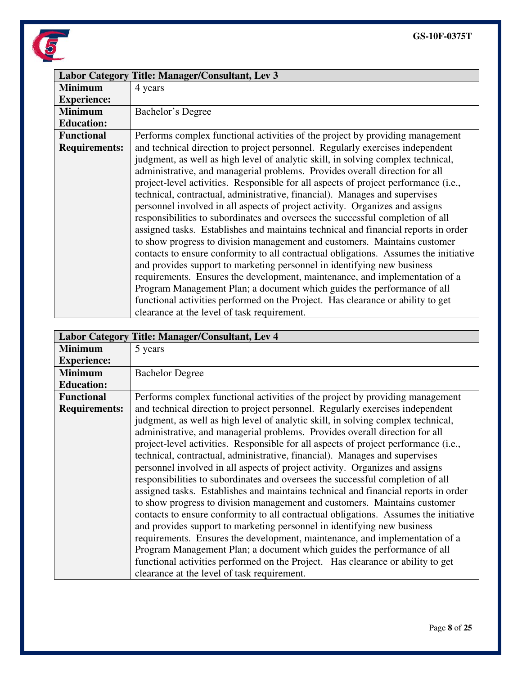

|                      | Labor Category Title: Manager/Consultant, Lev 3                                      |
|----------------------|--------------------------------------------------------------------------------------|
| <b>Minimum</b>       | 4 years                                                                              |
| <b>Experience:</b>   |                                                                                      |
| <b>Minimum</b>       | Bachelor's Degree                                                                    |
| <b>Education:</b>    |                                                                                      |
| <b>Functional</b>    | Performs complex functional activities of the project by providing management        |
| <b>Requirements:</b> | and technical direction to project personnel. Regularly exercises independent        |
|                      | judgment, as well as high level of analytic skill, in solving complex technical,     |
|                      | administrative, and managerial problems. Provides overall direction for all          |
|                      | project-level activities. Responsible for all aspects of project performance (i.e.,  |
|                      | technical, contractual, administrative, financial). Manages and supervises           |
|                      | personnel involved in all aspects of project activity. Organizes and assigns         |
|                      | responsibilities to subordinates and oversees the successful completion of all       |
|                      | assigned tasks. Establishes and maintains technical and financial reports in order   |
|                      | to show progress to division management and customers. Maintains customer            |
|                      | contacts to ensure conformity to all contractual obligations. Assumes the initiative |
|                      | and provides support to marketing personnel in identifying new business              |
|                      | requirements. Ensures the development, maintenance, and implementation of a          |
|                      | Program Management Plan; a document which guides the performance of all              |
|                      | functional activities performed on the Project. Has clearance or ability to get      |
|                      | clearance at the level of task requirement.                                          |

|                      | Labor Category Title: Manager/Consultant, Lev 4                                      |
|----------------------|--------------------------------------------------------------------------------------|
| <b>Minimum</b>       | 5 years                                                                              |
| <b>Experience:</b>   |                                                                                      |
| <b>Minimum</b>       | <b>Bachelor Degree</b>                                                               |
| <b>Education:</b>    |                                                                                      |
| <b>Functional</b>    | Performs complex functional activities of the project by providing management        |
| <b>Requirements:</b> | and technical direction to project personnel. Regularly exercises independent        |
|                      | judgment, as well as high level of analytic skill, in solving complex technical,     |
|                      | administrative, and managerial problems. Provides overall direction for all          |
|                      | project-level activities. Responsible for all aspects of project performance (i.e.,  |
|                      | technical, contractual, administrative, financial). Manages and supervises           |
|                      | personnel involved in all aspects of project activity. Organizes and assigns         |
|                      | responsibilities to subordinates and oversees the successful completion of all       |
|                      | assigned tasks. Establishes and maintains technical and financial reports in order   |
|                      | to show progress to division management and customers. Maintains customer            |
|                      | contacts to ensure conformity to all contractual obligations. Assumes the initiative |
|                      | and provides support to marketing personnel in identifying new business              |
|                      | requirements. Ensures the development, maintenance, and implementation of a          |
|                      | Program Management Plan; a document which guides the performance of all              |
|                      | functional activities performed on the Project. Has clearance or ability to get      |
|                      | clearance at the level of task requirement.                                          |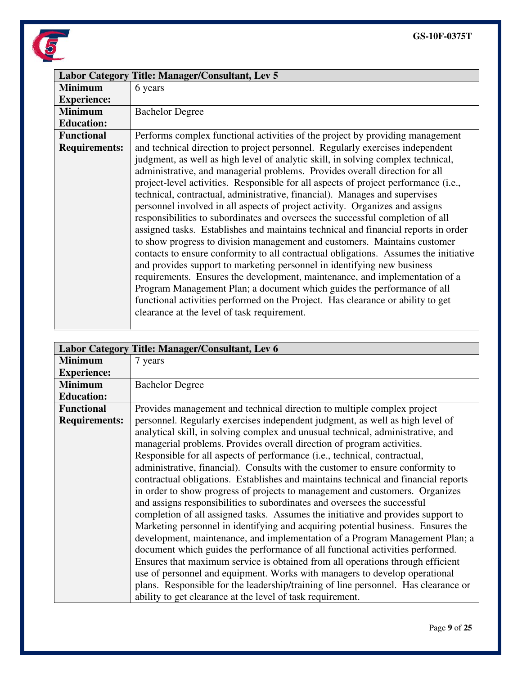

|                      | Labor Category Title: Manager/Consultant, Lev 5                                      |
|----------------------|--------------------------------------------------------------------------------------|
| <b>Minimum</b>       | 6 years                                                                              |
| <b>Experience:</b>   |                                                                                      |
| <b>Minimum</b>       | <b>Bachelor Degree</b>                                                               |
| <b>Education:</b>    |                                                                                      |
| <b>Functional</b>    | Performs complex functional activities of the project by providing management        |
| <b>Requirements:</b> | and technical direction to project personnel. Regularly exercises independent        |
|                      | judgment, as well as high level of analytic skill, in solving complex technical,     |
|                      | administrative, and managerial problems. Provides overall direction for all          |
|                      | project-level activities. Responsible for all aspects of project performance (i.e.,  |
|                      | technical, contractual, administrative, financial). Manages and supervises           |
|                      | personnel involved in all aspects of project activity. Organizes and assigns         |
|                      | responsibilities to subordinates and oversees the successful completion of all       |
|                      | assigned tasks. Establishes and maintains technical and financial reports in order   |
|                      | to show progress to division management and customers. Maintains customer            |
|                      | contacts to ensure conformity to all contractual obligations. Assumes the initiative |
|                      | and provides support to marketing personnel in identifying new business              |
|                      | requirements. Ensures the development, maintenance, and implementation of a          |
|                      | Program Management Plan; a document which guides the performance of all              |
|                      | functional activities performed on the Project. Has clearance or ability to get      |
|                      | clearance at the level of task requirement.                                          |
|                      |                                                                                      |

|                      | Labor Category Title: Manager/Consultant, Lev 6                                    |
|----------------------|------------------------------------------------------------------------------------|
| <b>Minimum</b>       | 7 years                                                                            |
| <b>Experience:</b>   |                                                                                    |
| <b>Minimum</b>       | <b>Bachelor Degree</b>                                                             |
| <b>Education:</b>    |                                                                                    |
| <b>Functional</b>    | Provides management and technical direction to multiple complex project            |
| <b>Requirements:</b> | personnel. Regularly exercises independent judgment, as well as high level of      |
|                      | analytical skill, in solving complex and unusual technical, administrative, and    |
|                      | managerial problems. Provides overall direction of program activities.             |
|                      | Responsible for all aspects of performance (i.e., technical, contractual,          |
|                      | administrative, financial). Consults with the customer to ensure conformity to     |
|                      | contractual obligations. Establishes and maintains technical and financial reports |
|                      | in order to show progress of projects to management and customers. Organizes       |
|                      | and assigns responsibilities to subordinates and oversees the successful           |
|                      | completion of all assigned tasks. Assumes the initiative and provides support to   |
|                      | Marketing personnel in identifying and acquiring potential business. Ensures the   |
|                      | development, maintenance, and implementation of a Program Management Plan; a       |
|                      | document which guides the performance of all functional activities performed.      |
|                      | Ensures that maximum service is obtained from all operations through efficient     |
|                      | use of personnel and equipment. Works with managers to develop operational         |
|                      | plans. Responsible for the leadership/training of line personnel. Has clearance or |
|                      | ability to get clearance at the level of task requirement.                         |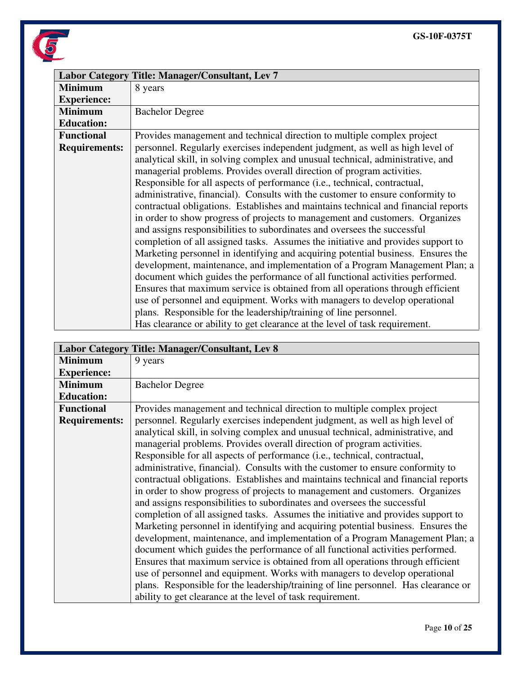

|                      | Labor Category Title: Manager/Consultant, Lev 7                                    |
|----------------------|------------------------------------------------------------------------------------|
| <b>Minimum</b>       | 8 years                                                                            |
| <b>Experience:</b>   |                                                                                    |
| <b>Minimum</b>       | <b>Bachelor Degree</b>                                                             |
| <b>Education:</b>    |                                                                                    |
| <b>Functional</b>    | Provides management and technical direction to multiple complex project            |
| <b>Requirements:</b> | personnel. Regularly exercises independent judgment, as well as high level of      |
|                      | analytical skill, in solving complex and unusual technical, administrative, and    |
|                      | managerial problems. Provides overall direction of program activities.             |
|                      | Responsible for all aspects of performance (i.e., technical, contractual,          |
|                      | administrative, financial). Consults with the customer to ensure conformity to     |
|                      | contractual obligations. Establishes and maintains technical and financial reports |
|                      | in order to show progress of projects to management and customers. Organizes       |
|                      | and assigns responsibilities to subordinates and oversees the successful           |
|                      | completion of all assigned tasks. Assumes the initiative and provides support to   |
|                      | Marketing personnel in identifying and acquiring potential business. Ensures the   |
|                      | development, maintenance, and implementation of a Program Management Plan; a       |
|                      | document which guides the performance of all functional activities performed.      |
|                      | Ensures that maximum service is obtained from all operations through efficient     |
|                      | use of personnel and equipment. Works with managers to develop operational         |
|                      | plans. Responsible for the leadership/training of line personnel.                  |
|                      | Has clearance or ability to get clearance at the level of task requirement.        |

|                      | Labor Category Title: Manager/Consultant, Lev 8                                    |  |  |  |  |  |  |
|----------------------|------------------------------------------------------------------------------------|--|--|--|--|--|--|
| <b>Minimum</b>       | 9 years                                                                            |  |  |  |  |  |  |
| <b>Experience:</b>   |                                                                                    |  |  |  |  |  |  |
| <b>Minimum</b>       | <b>Bachelor Degree</b>                                                             |  |  |  |  |  |  |
| <b>Education:</b>    |                                                                                    |  |  |  |  |  |  |
| <b>Functional</b>    | Provides management and technical direction to multiple complex project            |  |  |  |  |  |  |
| <b>Requirements:</b> | personnel. Regularly exercises independent judgment, as well as high level of      |  |  |  |  |  |  |
|                      | analytical skill, in solving complex and unusual technical, administrative, and    |  |  |  |  |  |  |
|                      | managerial problems. Provides overall direction of program activities.             |  |  |  |  |  |  |
|                      | Responsible for all aspects of performance (i.e., technical, contractual,          |  |  |  |  |  |  |
|                      | administrative, financial). Consults with the customer to ensure conformity to     |  |  |  |  |  |  |
|                      | contractual obligations. Establishes and maintains technical and financial reports |  |  |  |  |  |  |
|                      | in order to show progress of projects to management and customers. Organizes       |  |  |  |  |  |  |
|                      | and assigns responsibilities to subordinates and oversees the successful           |  |  |  |  |  |  |
|                      | completion of all assigned tasks. Assumes the initiative and provides support to   |  |  |  |  |  |  |
|                      | Marketing personnel in identifying and acquiring potential business. Ensures the   |  |  |  |  |  |  |
|                      | development, maintenance, and implementation of a Program Management Plan; a       |  |  |  |  |  |  |
|                      | document which guides the performance of all functional activities performed.      |  |  |  |  |  |  |
|                      | Ensures that maximum service is obtained from all operations through efficient     |  |  |  |  |  |  |
|                      | use of personnel and equipment. Works with managers to develop operational         |  |  |  |  |  |  |
|                      | plans. Responsible for the leadership/training of line personnel. Has clearance or |  |  |  |  |  |  |
|                      | ability to get clearance at the level of task requirement.                         |  |  |  |  |  |  |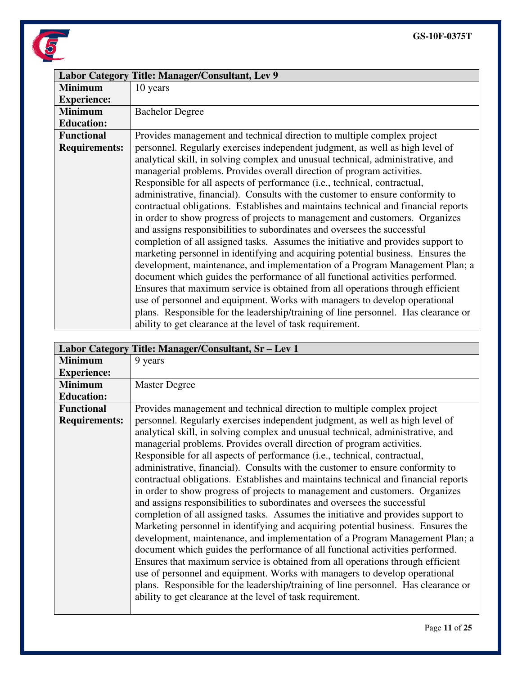

|                      | Labor Category Title: Manager/Consultant, Lev 9                                    |  |  |  |  |  |  |  |
|----------------------|------------------------------------------------------------------------------------|--|--|--|--|--|--|--|
| <b>Minimum</b>       | 10 years                                                                           |  |  |  |  |  |  |  |
| <b>Experience:</b>   |                                                                                    |  |  |  |  |  |  |  |
| <b>Minimum</b>       | <b>Bachelor Degree</b>                                                             |  |  |  |  |  |  |  |
| <b>Education:</b>    |                                                                                    |  |  |  |  |  |  |  |
| <b>Functional</b>    | Provides management and technical direction to multiple complex project            |  |  |  |  |  |  |  |
| <b>Requirements:</b> | personnel. Regularly exercises independent judgment, as well as high level of      |  |  |  |  |  |  |  |
|                      | analytical skill, in solving complex and unusual technical, administrative, and    |  |  |  |  |  |  |  |
|                      | managerial problems. Provides overall direction of program activities.             |  |  |  |  |  |  |  |
|                      | Responsible for all aspects of performance (i.e., technical, contractual,          |  |  |  |  |  |  |  |
|                      | administrative, financial). Consults with the customer to ensure conformity to     |  |  |  |  |  |  |  |
|                      | contractual obligations. Establishes and maintains technical and financial reports |  |  |  |  |  |  |  |
|                      | in order to show progress of projects to management and customers. Organizes       |  |  |  |  |  |  |  |
|                      | and assigns responsibilities to subordinates and oversees the successful           |  |  |  |  |  |  |  |
|                      | completion of all assigned tasks. Assumes the initiative and provides support to   |  |  |  |  |  |  |  |
|                      | marketing personnel in identifying and acquiring potential business. Ensures the   |  |  |  |  |  |  |  |
|                      | development, maintenance, and implementation of a Program Management Plan; a       |  |  |  |  |  |  |  |
|                      | document which guides the performance of all functional activities performed.      |  |  |  |  |  |  |  |
|                      | Ensures that maximum service is obtained from all operations through efficient     |  |  |  |  |  |  |  |
|                      | use of personnel and equipment. Works with managers to develop operational         |  |  |  |  |  |  |  |
|                      | plans. Responsible for the leadership/training of line personnel. Has clearance or |  |  |  |  |  |  |  |
|                      | ability to get clearance at the level of task requirement.                         |  |  |  |  |  |  |  |

|                      | Labor Category Title: Manager/Consultant, Sr - Lev 1                               |  |  |  |  |  |  |  |
|----------------------|------------------------------------------------------------------------------------|--|--|--|--|--|--|--|
| <b>Minimum</b>       | 9 years                                                                            |  |  |  |  |  |  |  |
| <b>Experience:</b>   |                                                                                    |  |  |  |  |  |  |  |
| <b>Minimum</b>       | <b>Master Degree</b>                                                               |  |  |  |  |  |  |  |
| <b>Education:</b>    |                                                                                    |  |  |  |  |  |  |  |
| <b>Functional</b>    | Provides management and technical direction to multiple complex project            |  |  |  |  |  |  |  |
| <b>Requirements:</b> | personnel. Regularly exercises independent judgment, as well as high level of      |  |  |  |  |  |  |  |
|                      | analytical skill, in solving complex and unusual technical, administrative, and    |  |  |  |  |  |  |  |
|                      | managerial problems. Provides overall direction of program activities.             |  |  |  |  |  |  |  |
|                      | Responsible for all aspects of performance (i.e., technical, contractual,          |  |  |  |  |  |  |  |
|                      | administrative, financial). Consults with the customer to ensure conformity to     |  |  |  |  |  |  |  |
|                      | contractual obligations. Establishes and maintains technical and financial reports |  |  |  |  |  |  |  |
|                      | in order to show progress of projects to management and customers. Organizes       |  |  |  |  |  |  |  |
|                      | and assigns responsibilities to subordinates and oversees the successful           |  |  |  |  |  |  |  |
|                      | completion of all assigned tasks. Assumes the initiative and provides support to   |  |  |  |  |  |  |  |
|                      | Marketing personnel in identifying and acquiring potential business. Ensures the   |  |  |  |  |  |  |  |
|                      | development, maintenance, and implementation of a Program Management Plan; a       |  |  |  |  |  |  |  |
|                      | document which guides the performance of all functional activities performed.      |  |  |  |  |  |  |  |
|                      | Ensures that maximum service is obtained from all operations through efficient     |  |  |  |  |  |  |  |
|                      | use of personnel and equipment. Works with managers to develop operational         |  |  |  |  |  |  |  |
|                      | plans. Responsible for the leadership/training of line personnel. Has clearance or |  |  |  |  |  |  |  |
|                      | ability to get clearance at the level of task requirement.                         |  |  |  |  |  |  |  |
|                      |                                                                                    |  |  |  |  |  |  |  |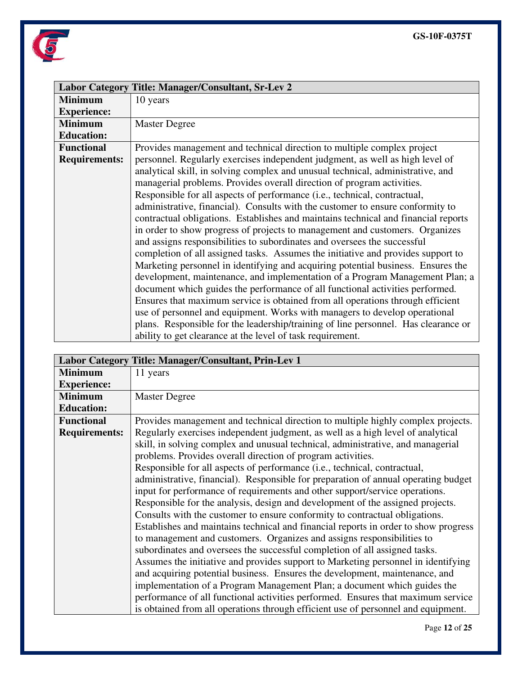

|                      | Labor Category Title: Manager/Consultant, Sr-Lev 2                                 |  |  |  |  |  |  |  |
|----------------------|------------------------------------------------------------------------------------|--|--|--|--|--|--|--|
| <b>Minimum</b>       | 10 years                                                                           |  |  |  |  |  |  |  |
| <b>Experience:</b>   |                                                                                    |  |  |  |  |  |  |  |
| <b>Minimum</b>       | <b>Master Degree</b>                                                               |  |  |  |  |  |  |  |
| <b>Education:</b>    |                                                                                    |  |  |  |  |  |  |  |
| <b>Functional</b>    | Provides management and technical direction to multiple complex project            |  |  |  |  |  |  |  |
| <b>Requirements:</b> | personnel. Regularly exercises independent judgment, as well as high level of      |  |  |  |  |  |  |  |
|                      | analytical skill, in solving complex and unusual technical, administrative, and    |  |  |  |  |  |  |  |
|                      | managerial problems. Provides overall direction of program activities.             |  |  |  |  |  |  |  |
|                      | Responsible for all aspects of performance (i.e., technical, contractual,          |  |  |  |  |  |  |  |
|                      | administrative, financial). Consults with the customer to ensure conformity to     |  |  |  |  |  |  |  |
|                      | contractual obligations. Establishes and maintains technical and financial reports |  |  |  |  |  |  |  |
|                      | in order to show progress of projects to management and customers. Organizes       |  |  |  |  |  |  |  |
|                      | and assigns responsibilities to subordinates and oversees the successful           |  |  |  |  |  |  |  |
|                      | completion of all assigned tasks. Assumes the initiative and provides support to   |  |  |  |  |  |  |  |
|                      | Marketing personnel in identifying and acquiring potential business. Ensures the   |  |  |  |  |  |  |  |
|                      | development, maintenance, and implementation of a Program Management Plan; a       |  |  |  |  |  |  |  |
|                      | document which guides the performance of all functional activities performed.      |  |  |  |  |  |  |  |
|                      | Ensures that maximum service is obtained from all operations through efficient     |  |  |  |  |  |  |  |
|                      | use of personnel and equipment. Works with managers to develop operational         |  |  |  |  |  |  |  |
|                      | plans. Responsible for the leadership/training of line personnel. Has clearance or |  |  |  |  |  |  |  |
|                      | ability to get clearance at the level of task requirement.                         |  |  |  |  |  |  |  |

|                      | Labor Category Title: Manager/Consultant, Prin-Lev 1                                |  |  |  |  |  |  |  |
|----------------------|-------------------------------------------------------------------------------------|--|--|--|--|--|--|--|
| <b>Minimum</b>       | 11 years                                                                            |  |  |  |  |  |  |  |
| <b>Experience:</b>   |                                                                                     |  |  |  |  |  |  |  |
| <b>Minimum</b>       | <b>Master Degree</b>                                                                |  |  |  |  |  |  |  |
| <b>Education:</b>    |                                                                                     |  |  |  |  |  |  |  |
| <b>Functional</b>    | Provides management and technical direction to multiple highly complex projects.    |  |  |  |  |  |  |  |
| <b>Requirements:</b> | Regularly exercises independent judgment, as well as a high level of analytical     |  |  |  |  |  |  |  |
|                      | skill, in solving complex and unusual technical, administrative, and managerial     |  |  |  |  |  |  |  |
|                      | problems. Provides overall direction of program activities.                         |  |  |  |  |  |  |  |
|                      | Responsible for all aspects of performance (i.e., technical, contractual,           |  |  |  |  |  |  |  |
|                      | administrative, financial). Responsible for preparation of annual operating budget  |  |  |  |  |  |  |  |
|                      | input for performance of requirements and other support/service operations.         |  |  |  |  |  |  |  |
|                      | Responsible for the analysis, design and development of the assigned projects.      |  |  |  |  |  |  |  |
|                      | Consults with the customer to ensure conformity to contractual obligations.         |  |  |  |  |  |  |  |
|                      | Establishes and maintains technical and financial reports in order to show progress |  |  |  |  |  |  |  |
|                      | to management and customers. Organizes and assigns responsibilities to              |  |  |  |  |  |  |  |
|                      | subordinates and oversees the successful completion of all assigned tasks.          |  |  |  |  |  |  |  |
|                      | Assumes the initiative and provides support to Marketing personnel in identifying   |  |  |  |  |  |  |  |
|                      | and acquiring potential business. Ensures the development, maintenance, and         |  |  |  |  |  |  |  |
|                      | implementation of a Program Management Plan; a document which guides the            |  |  |  |  |  |  |  |
|                      | performance of all functional activities performed. Ensures that maximum service    |  |  |  |  |  |  |  |
|                      | is obtained from all operations through efficient use of personnel and equipment.   |  |  |  |  |  |  |  |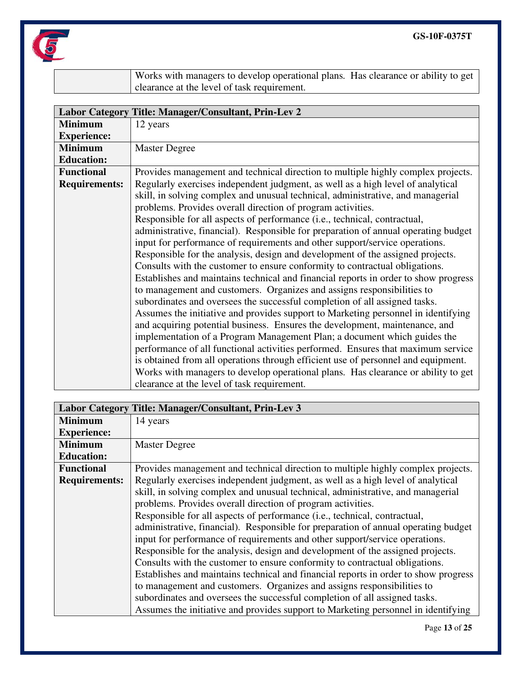

Works with managers to develop operational plans. Has clearance or ability to get clearance at the level of task requirement.

|                      | Labor Category Title: Manager/Consultant, Prin-Lev 2                                |  |  |  |  |  |  |  |  |
|----------------------|-------------------------------------------------------------------------------------|--|--|--|--|--|--|--|--|
| <b>Minimum</b>       | 12 years                                                                            |  |  |  |  |  |  |  |  |
| <b>Experience:</b>   |                                                                                     |  |  |  |  |  |  |  |  |
| <b>Minimum</b>       | <b>Master Degree</b>                                                                |  |  |  |  |  |  |  |  |
| <b>Education:</b>    |                                                                                     |  |  |  |  |  |  |  |  |
| <b>Functional</b>    | Provides management and technical direction to multiple highly complex projects.    |  |  |  |  |  |  |  |  |
| <b>Requirements:</b> | Regularly exercises independent judgment, as well as a high level of analytical     |  |  |  |  |  |  |  |  |
|                      | skill, in solving complex and unusual technical, administrative, and managerial     |  |  |  |  |  |  |  |  |
|                      | problems. Provides overall direction of program activities.                         |  |  |  |  |  |  |  |  |
|                      | Responsible for all aspects of performance (i.e., technical, contractual,           |  |  |  |  |  |  |  |  |
|                      | administrative, financial). Responsible for preparation of annual operating budget  |  |  |  |  |  |  |  |  |
|                      | input for performance of requirements and other support/service operations.         |  |  |  |  |  |  |  |  |
|                      | Responsible for the analysis, design and development of the assigned projects.      |  |  |  |  |  |  |  |  |
|                      | Consults with the customer to ensure conformity to contractual obligations.         |  |  |  |  |  |  |  |  |
|                      | Establishes and maintains technical and financial reports in order to show progress |  |  |  |  |  |  |  |  |
|                      | to management and customers. Organizes and assigns responsibilities to              |  |  |  |  |  |  |  |  |
|                      | subordinates and oversees the successful completion of all assigned tasks.          |  |  |  |  |  |  |  |  |
|                      | Assumes the initiative and provides support to Marketing personnel in identifying   |  |  |  |  |  |  |  |  |
|                      | and acquiring potential business. Ensures the development, maintenance, and         |  |  |  |  |  |  |  |  |
|                      | implementation of a Program Management Plan; a document which guides the            |  |  |  |  |  |  |  |  |
|                      | performance of all functional activities performed. Ensures that maximum service    |  |  |  |  |  |  |  |  |
|                      | is obtained from all operations through efficient use of personnel and equipment.   |  |  |  |  |  |  |  |  |
|                      | Works with managers to develop operational plans. Has clearance or ability to get   |  |  |  |  |  |  |  |  |
|                      | clearance at the level of task requirement.                                         |  |  |  |  |  |  |  |  |

|                      | Labor Category Title: Manager/Consultant, Prin-Lev 3                                |  |  |  |  |  |  |  |
|----------------------|-------------------------------------------------------------------------------------|--|--|--|--|--|--|--|
| <b>Minimum</b>       | 14 years                                                                            |  |  |  |  |  |  |  |
| <b>Experience:</b>   |                                                                                     |  |  |  |  |  |  |  |
| <b>Minimum</b>       | <b>Master Degree</b>                                                                |  |  |  |  |  |  |  |
| <b>Education:</b>    |                                                                                     |  |  |  |  |  |  |  |
| <b>Functional</b>    | Provides management and technical direction to multiple highly complex projects.    |  |  |  |  |  |  |  |
| <b>Requirements:</b> | Regularly exercises independent judgment, as well as a high level of analytical     |  |  |  |  |  |  |  |
|                      | skill, in solving complex and unusual technical, administrative, and managerial     |  |  |  |  |  |  |  |
|                      | problems. Provides overall direction of program activities.                         |  |  |  |  |  |  |  |
|                      | Responsible for all aspects of performance (i.e., technical, contractual,           |  |  |  |  |  |  |  |
|                      | administrative, financial). Responsible for preparation of annual operating budget  |  |  |  |  |  |  |  |
|                      | input for performance of requirements and other support/service operations.         |  |  |  |  |  |  |  |
|                      | Responsible for the analysis, design and development of the assigned projects.      |  |  |  |  |  |  |  |
|                      | Consults with the customer to ensure conformity to contractual obligations.         |  |  |  |  |  |  |  |
|                      | Establishes and maintains technical and financial reports in order to show progress |  |  |  |  |  |  |  |
|                      | to management and customers. Organizes and assigns responsibilities to              |  |  |  |  |  |  |  |
|                      | subordinates and oversees the successful completion of all assigned tasks.          |  |  |  |  |  |  |  |
|                      | Assumes the initiative and provides support to Marketing personnel in identifying   |  |  |  |  |  |  |  |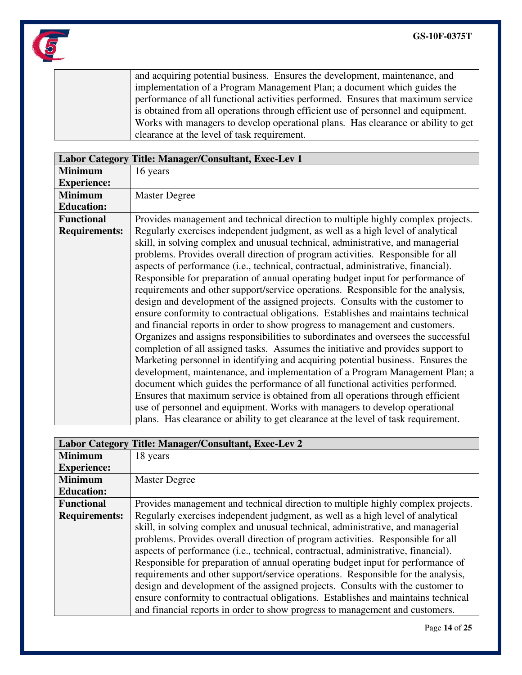

and acquiring potential business. Ensures the development, maintenance, and implementation of a Program Management Plan; a document which guides the performance of all functional activities performed. Ensures that maximum service is obtained from all operations through efficient use of personnel and equipment. Works with managers to develop operational plans. Has clearance or ability to get clearance at the level of task requirement.

|                      | Labor Category Title: Manager/Consultant, Exec-Lev 1                               |  |  |  |  |  |  |  |  |
|----------------------|------------------------------------------------------------------------------------|--|--|--|--|--|--|--|--|
| <b>Minimum</b>       | 16 years                                                                           |  |  |  |  |  |  |  |  |
| <b>Experience:</b>   |                                                                                    |  |  |  |  |  |  |  |  |
| <b>Minimum</b>       | <b>Master Degree</b>                                                               |  |  |  |  |  |  |  |  |
| <b>Education:</b>    |                                                                                    |  |  |  |  |  |  |  |  |
| <b>Functional</b>    | Provides management and technical direction to multiple highly complex projects.   |  |  |  |  |  |  |  |  |
| <b>Requirements:</b> | Regularly exercises independent judgment, as well as a high level of analytical    |  |  |  |  |  |  |  |  |
|                      | skill, in solving complex and unusual technical, administrative, and managerial    |  |  |  |  |  |  |  |  |
|                      | problems. Provides overall direction of program activities. Responsible for all    |  |  |  |  |  |  |  |  |
|                      | aspects of performance (i.e., technical, contractual, administrative, financial).  |  |  |  |  |  |  |  |  |
|                      | Responsible for preparation of annual operating budget input for performance of    |  |  |  |  |  |  |  |  |
|                      | requirements and other support/service operations. Responsible for the analysis,   |  |  |  |  |  |  |  |  |
|                      | design and development of the assigned projects. Consults with the customer to     |  |  |  |  |  |  |  |  |
|                      | ensure conformity to contractual obligations. Establishes and maintains technical  |  |  |  |  |  |  |  |  |
|                      | and financial reports in order to show progress to management and customers.       |  |  |  |  |  |  |  |  |
|                      | Organizes and assigns responsibilities to subordinates and oversees the successful |  |  |  |  |  |  |  |  |
|                      | completion of all assigned tasks. Assumes the initiative and provides support to   |  |  |  |  |  |  |  |  |
|                      | Marketing personnel in identifying and acquiring potential business. Ensures the   |  |  |  |  |  |  |  |  |
|                      | development, maintenance, and implementation of a Program Management Plan; a       |  |  |  |  |  |  |  |  |
|                      | document which guides the performance of all functional activities performed.      |  |  |  |  |  |  |  |  |
|                      | Ensures that maximum service is obtained from all operations through efficient     |  |  |  |  |  |  |  |  |
|                      | use of personnel and equipment. Works with managers to develop operational         |  |  |  |  |  |  |  |  |
|                      | plans. Has clearance or ability to get clearance at the level of task requirement. |  |  |  |  |  |  |  |  |

|                                                                                                         | Labor Category Title: Manager/Consultant, Exec-Lev 2                              |  |  |  |  |  |  |
|---------------------------------------------------------------------------------------------------------|-----------------------------------------------------------------------------------|--|--|--|--|--|--|
| <b>Minimum</b>                                                                                          | 18 years                                                                          |  |  |  |  |  |  |
| <b>Experience:</b>                                                                                      |                                                                                   |  |  |  |  |  |  |
| <b>Minimum</b>                                                                                          | <b>Master Degree</b>                                                              |  |  |  |  |  |  |
| <b>Education:</b>                                                                                       |                                                                                   |  |  |  |  |  |  |
| <b>Functional</b>                                                                                       | Provides management and technical direction to multiple highly complex projects.  |  |  |  |  |  |  |
| Regularly exercises independent judgment, as well as a high level of analytical<br><b>Requirements:</b> |                                                                                   |  |  |  |  |  |  |
| skill, in solving complex and unusual technical, administrative, and managerial                         |                                                                                   |  |  |  |  |  |  |
|                                                                                                         | problems. Provides overall direction of program activities. Responsible for all   |  |  |  |  |  |  |
|                                                                                                         | aspects of performance (i.e., technical, contractual, administrative, financial). |  |  |  |  |  |  |
|                                                                                                         | Responsible for preparation of annual operating budget input for performance of   |  |  |  |  |  |  |
|                                                                                                         | requirements and other support/service operations. Responsible for the analysis,  |  |  |  |  |  |  |
|                                                                                                         | design and development of the assigned projects. Consults with the customer to    |  |  |  |  |  |  |
|                                                                                                         | ensure conformity to contractual obligations. Establishes and maintains technical |  |  |  |  |  |  |
|                                                                                                         | and financial reports in order to show progress to management and customers.      |  |  |  |  |  |  |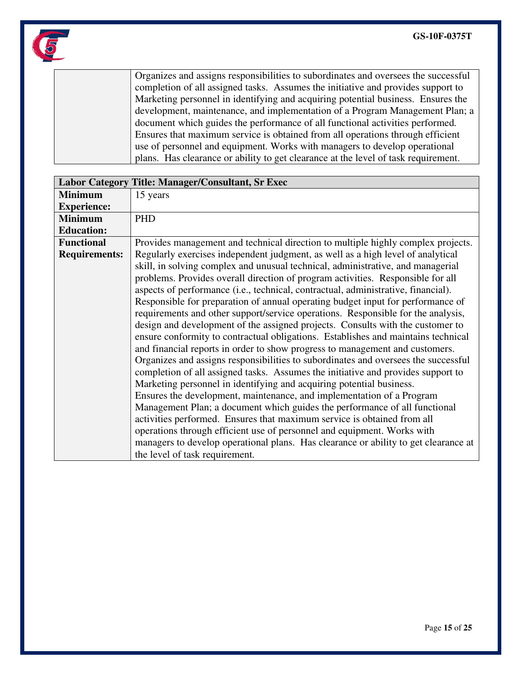

Organizes and assigns responsibilities to subordinates and oversees the successful completion of all assigned tasks. Assumes the initiative and provides support to Marketing personnel in identifying and acquiring potential business. Ensures the development, maintenance, and implementation of a Program Management Plan; a document which guides the performance of all functional activities performed. Ensures that maximum service is obtained from all operations through efficient use of personnel and equipment. Works with managers to develop operational plans. Has clearance or ability to get clearance at the level of task requirement.

|                      | Labor Category Title: Manager/Consultant, Sr Exec                                   |  |  |  |  |  |  |  |
|----------------------|-------------------------------------------------------------------------------------|--|--|--|--|--|--|--|
| <b>Minimum</b>       | 15 years                                                                            |  |  |  |  |  |  |  |
| <b>Experience:</b>   |                                                                                     |  |  |  |  |  |  |  |
| <b>Minimum</b>       | <b>PHD</b>                                                                          |  |  |  |  |  |  |  |
| <b>Education:</b>    |                                                                                     |  |  |  |  |  |  |  |
| <b>Functional</b>    | Provides management and technical direction to multiple highly complex projects.    |  |  |  |  |  |  |  |
| <b>Requirements:</b> | Regularly exercises independent judgment, as well as a high level of analytical     |  |  |  |  |  |  |  |
|                      | skill, in solving complex and unusual technical, administrative, and managerial     |  |  |  |  |  |  |  |
|                      | problems. Provides overall direction of program activities. Responsible for all     |  |  |  |  |  |  |  |
|                      | aspects of performance (i.e., technical, contractual, administrative, financial).   |  |  |  |  |  |  |  |
|                      | Responsible for preparation of annual operating budget input for performance of     |  |  |  |  |  |  |  |
|                      | requirements and other support/service operations. Responsible for the analysis,    |  |  |  |  |  |  |  |
|                      | design and development of the assigned projects. Consults with the customer to      |  |  |  |  |  |  |  |
|                      | ensure conformity to contractual obligations. Establishes and maintains technical   |  |  |  |  |  |  |  |
|                      | and financial reports in order to show progress to management and customers.        |  |  |  |  |  |  |  |
|                      | Organizes and assigns responsibilities to subordinates and oversees the successful  |  |  |  |  |  |  |  |
|                      | completion of all assigned tasks. Assumes the initiative and provides support to    |  |  |  |  |  |  |  |
|                      | Marketing personnel in identifying and acquiring potential business.                |  |  |  |  |  |  |  |
|                      | Ensures the development, maintenance, and implementation of a Program               |  |  |  |  |  |  |  |
|                      | Management Plan; a document which guides the performance of all functional          |  |  |  |  |  |  |  |
|                      | activities performed. Ensures that maximum service is obtained from all             |  |  |  |  |  |  |  |
|                      | operations through efficient use of personnel and equipment. Works with             |  |  |  |  |  |  |  |
|                      | managers to develop operational plans. Has clearance or ability to get clearance at |  |  |  |  |  |  |  |
|                      | the level of task requirement.                                                      |  |  |  |  |  |  |  |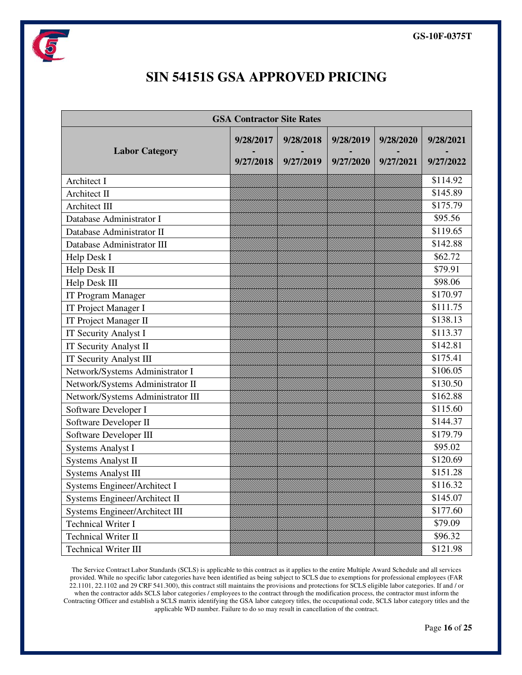

## **SIN 54151S GSA APPROVED PRICING**

| <b>GSA Contractor Site Rates</b>  |           |           |           |           |           |
|-----------------------------------|-----------|-----------|-----------|-----------|-----------|
| <b>Labor Category</b>             | 9/28/2017 | 9/28/2018 | 9/28/2019 | 9/28/2020 | 9/28/2021 |
|                                   | 9/27/2018 | 9/27/2019 | 9/27/2020 | 9/27/2021 | 9/27/2022 |
| Architect I                       |           |           |           |           | \$114.92  |
| Architect II                      |           |           |           |           | \$145.89  |
| <b>Architect III</b>              |           |           |           |           | \$175.79  |
| Database Administrator I          |           |           |           |           | \$95.56   |
| Database Administrator II         |           |           |           |           | \$119.65  |
| Database Administrator III        |           |           |           |           | \$142.88  |
| Help Desk I                       |           |           |           |           | \$62.72   |
| Help Desk II                      |           |           |           |           | \$79.91   |
| Help Desk III                     |           |           |           |           | \$98.06   |
| IT Program Manager                |           |           |           |           | \$170.97  |
| IT Project Manager I              |           |           |           |           | \$111.75  |
| IT Project Manager II             |           |           |           |           | \$138.13  |
| <b>IT Security Analyst I</b>      |           |           |           |           | \$113.37  |
| <b>IT Security Analyst II</b>     |           |           |           |           | \$142.81  |
| IT Security Analyst III           |           |           |           |           | \$175.41  |
| Network/Systems Administrator I   |           |           |           |           | \$106.05  |
| Network/Systems Administrator II  |           |           |           |           | \$130.50  |
| Network/Systems Administrator III |           |           |           |           | \$162.88  |
| Software Developer I              |           |           |           |           | \$115.60  |
| Software Developer II             |           |           |           |           | \$144.37  |
| Software Developer III            |           |           |           |           | \$179.79  |
| <b>Systems Analyst I</b>          |           |           |           |           | \$95.02   |
| <b>Systems Analyst II</b>         |           |           |           |           | \$120.69  |
| <b>Systems Analyst III</b>        |           |           |           |           | \$151.28  |
| Systems Engineer/Architect I      |           |           |           |           | \$116.32  |
| Systems Engineer/Architect II     |           |           |           |           | \$145.07  |
| Systems Engineer/Architect III    |           |           |           |           | \$177.60  |
| <b>Technical Writer I</b>         |           |           |           |           | \$79.09   |
| Technical Writer II               |           |           |           |           | \$96.32   |
| Technical Writer III              |           |           |           |           | \$121.98  |

The Service Contract Labor Standards (SCLS) is applicable to this contract as it applies to the entire Multiple Award Schedule and all services provided. While no specific labor categories have been identified as being subject to SCLS due to exemptions for professional employees (FAR 22.1101, 22.1102 and 29 CRF 541.300), this contract still maintains the provisions and protections for SCLS eligible labor categories. If and / or when the contractor adds SCLS labor categories / employees to the contract through the modification process, the contractor must inform the Contracting Officer and establish a SCLS matrix identifying the GSA labor category titles, the occupational code, SCLS labor category titles and the applicable WD number. Failure to do so may result in cancellation of the contract.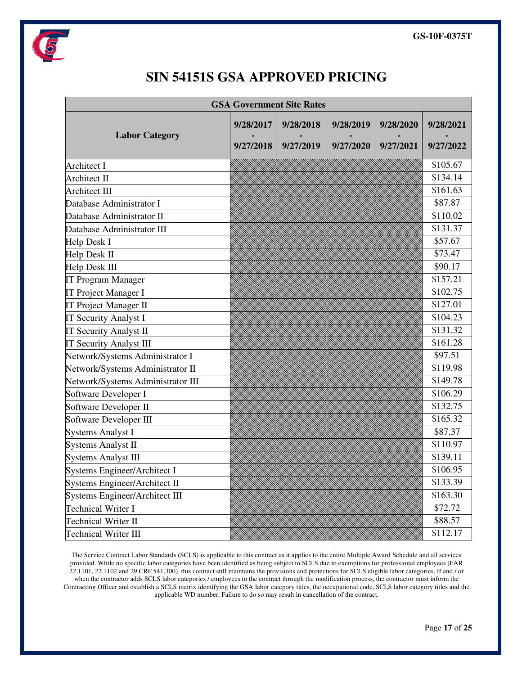

## **SIN 54151S GSA APPROVED PRICING**

| <b>GSA Government Site Rates</b>      |           |           |           |           |           |
|---------------------------------------|-----------|-----------|-----------|-----------|-----------|
| <b>Labor Category</b>                 | 9/28/2017 | 9/28/2018 | 9/28/2019 | 9/28/2020 | 9/28/2021 |
|                                       | 9/27/2018 | 9/27/2019 | 9/27/2020 | 9/27/2021 | 9/27/2022 |
| <b>Architect I</b>                    |           |           |           |           | \$105.67  |
| Architect II                          |           |           |           |           | \$134.14  |
| <b>Architect III</b>                  |           |           |           |           | \$161.63  |
| Database Administrator I              |           |           |           |           | \$87.87   |
| Database Administrator II             |           |           |           |           | \$110.02  |
| Database Administrator III            |           |           |           |           | \$131.37  |
| <b>Help Desk I</b>                    |           |           |           |           | \$57.67   |
| Help Desk II                          |           |           |           |           | \$73.47   |
| Help Desk III                         |           |           |           |           | \$90.17   |
| <b>IT Program Manager</b>             |           |           |           |           | \$157.21  |
| IT Project Manager I                  |           |           |           |           | \$102.75  |
| IT Project Manager II                 |           |           |           |           | \$127.01  |
| <b>IT Security Analyst I</b>          |           |           |           |           | \$104.23  |
| <b>IT Security Analyst II</b>         |           |           |           |           | \$131.32  |
| <b>IT Security Analyst III</b>        |           |           |           |           | \$161.28  |
| Network/Systems Administrator I       |           |           |           |           | \$97.51   |
| Network/Systems Administrator II      |           |           |           |           | \$119.98  |
| Network/Systems Administrator III     |           |           |           |           | \$149.78  |
| Software Developer I                  |           |           |           |           | \$106.29  |
| Software Developer II                 |           |           |           |           | \$132.75  |
| Software Developer III                |           |           |           |           | \$165.32  |
| <b>Systems Analyst I</b>              |           |           |           |           | \$87.37   |
| <b>Systems Analyst II</b>             |           |           |           |           | \$110.97  |
| <b>Systems Analyst III</b>            |           |           |           |           | \$139.11  |
| Systems Engineer/Architect I          |           |           |           |           | \$106.95  |
| Systems Engineer/Architect II         |           |           |           |           | \$133.39  |
| <b>Systems Engineer/Architect III</b> |           |           |           |           | \$163.30  |
| <b>Technical Writer I</b>             |           |           |           |           | \$72.72   |
| <b>Technical Writer II</b>            |           |           |           |           | \$88.57   |
| <b>Technical Writer III</b>           |           |           |           |           | \$112.17  |

The Service Contract Labor Standards (SCLS) is applicable to this contract as it applies to the entire Multiple Award Schedule and all services provided. While no specific labor categories have been identified as being subject to SCLS due to exemptions for professional employees (FAR 22.1101, 22.1102 and 29 CRF 541.300), this contract still maintains the provisions and protections for SCLS eligible labor categories. If and / or when the contractor adds SCLS labor categories / employees to the contract through the modification process, the contractor must inform the Contracting Officer and establish a SCLS matrix identifying the GSA labor category titles, the occupational code, SCLS labor category titles and the applicable WD number. Failure to do so may result in cancellation of the contract.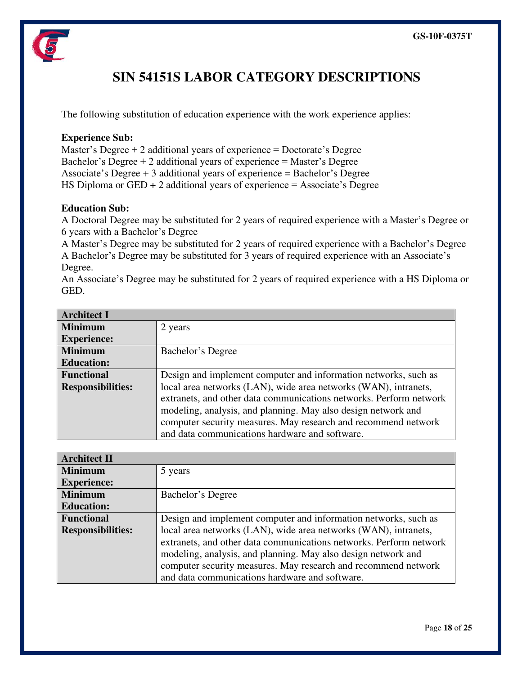

## **SIN 54151S LABOR CATEGORY DESCRIPTIONS**

The following substitution of education experience with the work experience applies:

#### **Experience Sub:**

Master's Degree  $+2$  additional years of experience  $=$  Doctorate's Degree Bachelor's Degree  $+ 2$  additional years of experience  $=$  Master's Degree Associate's Degree + 3 additional years of experience = Bachelor's Degree HS Diploma or  $GED + 2$  additional years of experience = Associate's Degree

#### **Education Sub:**

A Doctoral Degree may be substituted for 2 years of required experience with a Master's Degree or 6 years with a Bachelor's Degree

A Master's Degree may be substituted for 2 years of required experience with a Bachelor's Degree A Bachelor's Degree may be substituted for 3 years of required experience with an Associate's Degree.

An Associate's Degree may be substituted for 2 years of required experience with a HS Diploma or GED.

| <b>Architect I</b>       |                                                                                                                                                                                                                                                                                                                            |
|--------------------------|----------------------------------------------------------------------------------------------------------------------------------------------------------------------------------------------------------------------------------------------------------------------------------------------------------------------------|
| <b>Minimum</b>           | 2 years                                                                                                                                                                                                                                                                                                                    |
| <b>Experience:</b>       |                                                                                                                                                                                                                                                                                                                            |
| <b>Minimum</b>           | Bachelor's Degree                                                                                                                                                                                                                                                                                                          |
| <b>Education:</b>        |                                                                                                                                                                                                                                                                                                                            |
| <b>Functional</b>        | Design and implement computer and information networks, such as                                                                                                                                                                                                                                                            |
| <b>Responsibilities:</b> | local area networks (LAN), wide area networks (WAN), intranets,<br>extranets, and other data communications networks. Perform network<br>modeling, analysis, and planning. May also design network and<br>computer security measures. May research and recommend network<br>and data communications hardware and software. |

| <b>Architect II</b>      |                                                                    |
|--------------------------|--------------------------------------------------------------------|
| <b>Minimum</b>           | 5 years                                                            |
| <b>Experience:</b>       |                                                                    |
| <b>Minimum</b>           | Bachelor's Degree                                                  |
| <b>Education:</b>        |                                                                    |
| <b>Functional</b>        | Design and implement computer and information networks, such as    |
| <b>Responsibilities:</b> | local area networks (LAN), wide area networks (WAN), intranets,    |
|                          | extranets, and other data communications networks. Perform network |
|                          | modeling, analysis, and planning. May also design network and      |
|                          | computer security measures. May research and recommend network     |
|                          | and data communications hardware and software.                     |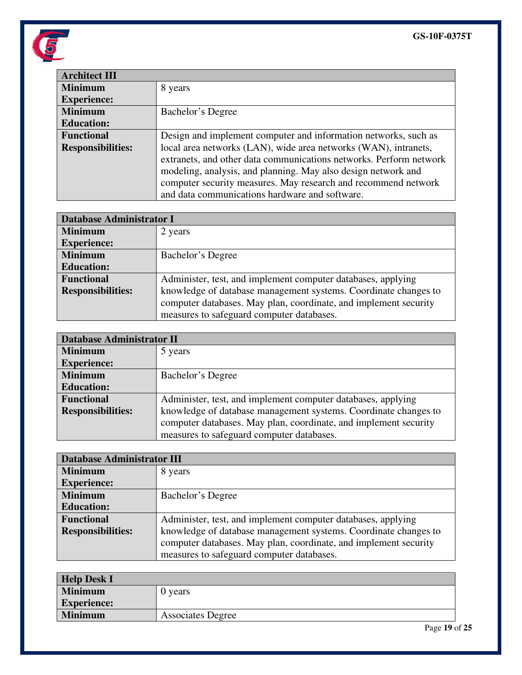

| <b>Architect III</b>     |                                                                                                                                                                                                                                                                                                                            |
|--------------------------|----------------------------------------------------------------------------------------------------------------------------------------------------------------------------------------------------------------------------------------------------------------------------------------------------------------------------|
| <b>Minimum</b>           | 8 years                                                                                                                                                                                                                                                                                                                    |
| <b>Experience:</b>       |                                                                                                                                                                                                                                                                                                                            |
| <b>Minimum</b>           | Bachelor's Degree                                                                                                                                                                                                                                                                                                          |
| <b>Education:</b>        |                                                                                                                                                                                                                                                                                                                            |
| <b>Functional</b>        | Design and implement computer and information networks, such as                                                                                                                                                                                                                                                            |
| <b>Responsibilities:</b> | local area networks (LAN), wide area networks (WAN), intranets,<br>extranets, and other data communications networks. Perform network<br>modeling, analysis, and planning. May also design network and<br>computer security measures. May research and recommend network<br>and data communications hardware and software. |

| <b>Database Administrator I</b> |                                                                                                                                     |
|---------------------------------|-------------------------------------------------------------------------------------------------------------------------------------|
| <b>Minimum</b>                  | 2 years                                                                                                                             |
| <b>Experience:</b>              |                                                                                                                                     |
| <b>Minimum</b>                  | Bachelor's Degree                                                                                                                   |
| <b>Education:</b>               |                                                                                                                                     |
| <b>Functional</b>               | Administer, test, and implement computer databases, applying                                                                        |
| <b>Responsibilities:</b>        | knowledge of database management systems. Coordinate changes to<br>computer databases. May plan, coordinate, and implement security |
|                                 | measures to safeguard computer databases.                                                                                           |

| <b>Database Administrator II</b> |                                                                                                                                     |
|----------------------------------|-------------------------------------------------------------------------------------------------------------------------------------|
| <b>Minimum</b>                   | 5 years                                                                                                                             |
| <b>Experience:</b>               |                                                                                                                                     |
| <b>Minimum</b>                   | Bachelor's Degree                                                                                                                   |
| <b>Education:</b>                |                                                                                                                                     |
| <b>Functional</b>                | Administer, test, and implement computer databases, applying                                                                        |
| <b>Responsibilities:</b>         | knowledge of database management systems. Coordinate changes to<br>computer databases. May plan, coordinate, and implement security |
|                                  | measures to safeguard computer databases.                                                                                           |

| <b>Database Administrator III</b> |                                                                  |
|-----------------------------------|------------------------------------------------------------------|
| <b>Minimum</b>                    | 8 years                                                          |
| <b>Experience:</b>                |                                                                  |
| <b>Minimum</b>                    | Bachelor's Degree                                                |
| <b>Education:</b>                 |                                                                  |
| <b>Functional</b>                 | Administer, test, and implement computer databases, applying     |
| <b>Responsibilities:</b>          | knowledge of database management systems. Coordinate changes to  |
|                                   | computer databases. May plan, coordinate, and implement security |
|                                   | measures to safeguard computer databases.                        |

| <b>Help Desk I</b> |                          |
|--------------------|--------------------------|
| <b>Minimum</b>     | 0 years                  |
| <b>Experience:</b> |                          |
| <b>Minimum</b>     | <b>Associates Degree</b> |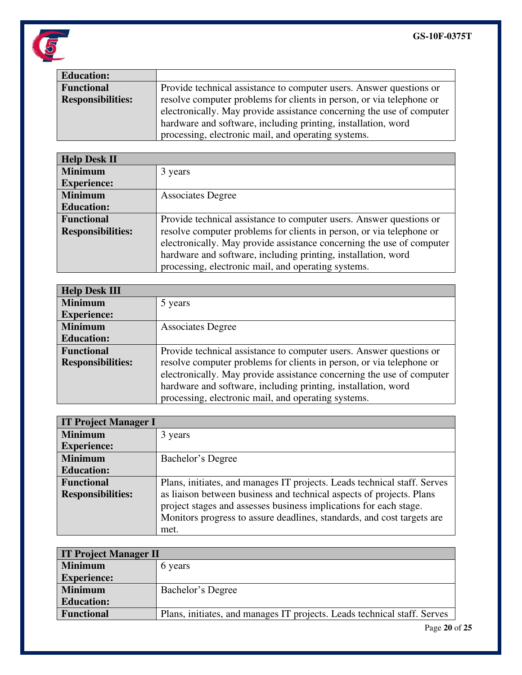

| <b>Education:</b>        |                                                                       |
|--------------------------|-----------------------------------------------------------------------|
| <b>Functional</b>        | Provide technical assistance to computer users. Answer questions or   |
| <b>Responsibilities:</b> | resolve computer problems for clients in person, or via telephone or  |
|                          | electronically. May provide assistance concerning the use of computer |
|                          | hardware and software, including printing, installation, word         |
|                          | processing, electronic mail, and operating systems.                   |

| <b>Help Desk II</b>      |                                                                       |
|--------------------------|-----------------------------------------------------------------------|
| <b>Minimum</b>           | 3 years                                                               |
| <b>Experience:</b>       |                                                                       |
| <b>Minimum</b>           | <b>Associates Degree</b>                                              |
| <b>Education:</b>        |                                                                       |
| <b>Functional</b>        | Provide technical assistance to computer users. Answer questions or   |
| <b>Responsibilities:</b> | resolve computer problems for clients in person, or via telephone or  |
|                          | electronically. May provide assistance concerning the use of computer |
|                          | hardware and software, including printing, installation, word         |
|                          | processing, electronic mail, and operating systems.                   |

| <b>Help Desk III</b>     |                                                                       |
|--------------------------|-----------------------------------------------------------------------|
| <b>Minimum</b>           | 5 years                                                               |
| <b>Experience:</b>       |                                                                       |
| <b>Minimum</b>           | <b>Associates Degree</b>                                              |
| <b>Education:</b>        |                                                                       |
| <b>Functional</b>        | Provide technical assistance to computer users. Answer questions or   |
| <b>Responsibilities:</b> | resolve computer problems for clients in person, or via telephone or  |
|                          | electronically. May provide assistance concerning the use of computer |
|                          | hardware and software, including printing, installation, word         |
|                          | processing, electronic mail, and operating systems.                   |

| <b>IT Project Manager I</b> |                                                                          |
|-----------------------------|--------------------------------------------------------------------------|
| <b>Minimum</b>              | 3 years                                                                  |
| <b>Experience:</b>          |                                                                          |
| <b>Minimum</b>              | Bachelor's Degree                                                        |
| <b>Education:</b>           |                                                                          |
| <b>Functional</b>           | Plans, initiates, and manages IT projects. Leads technical staff. Serves |
| <b>Responsibilities:</b>    | as liaison between business and technical aspects of projects. Plans     |
|                             | project stages and assesses business implications for each stage.        |
|                             | Monitors progress to assure deadlines, standards, and cost targets are   |
|                             | met.                                                                     |

| <b>IT Project Manager II</b> |                                                                          |
|------------------------------|--------------------------------------------------------------------------|
| <b>Minimum</b>               | 6 years                                                                  |
| <b>Experience:</b>           |                                                                          |
| <b>Minimum</b>               | Bachelor's Degree                                                        |
| <b>Education:</b>            |                                                                          |
| <b>Functional</b>            | Plans, initiates, and manages IT projects. Leads technical staff. Serves |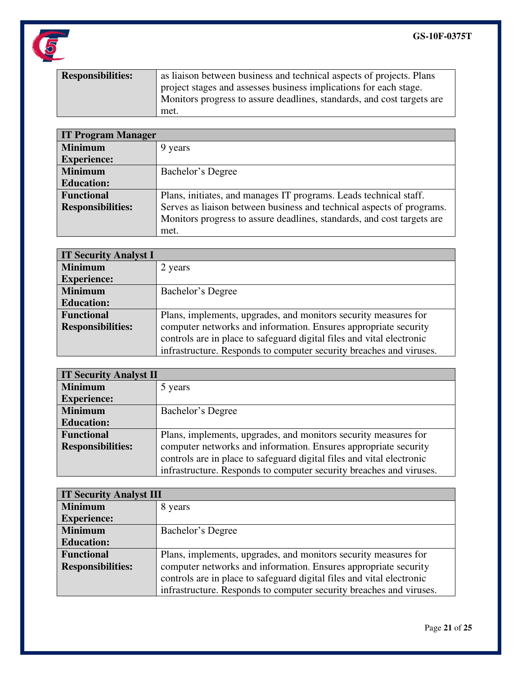

| <b>Responsibilities:</b> | as liaison between business and technical aspects of projects. Plans   |
|--------------------------|------------------------------------------------------------------------|
|                          | project stages and assesses business implications for each stage.      |
|                          | Monitors progress to assure deadlines, standards, and cost targets are |
|                          | met.                                                                   |

| <b>IT Program Manager</b> |                                                                        |
|---------------------------|------------------------------------------------------------------------|
| <b>Minimum</b>            | 9 years                                                                |
| <b>Experience:</b>        |                                                                        |
| <b>Minimum</b>            | Bachelor's Degree                                                      |
| <b>Education:</b>         |                                                                        |
| <b>Functional</b>         | Plans, initiates, and manages IT programs. Leads technical staff.      |
| <b>Responsibilities:</b>  | Serves as liaison between business and technical aspects of programs.  |
|                           | Monitors progress to assure deadlines, standards, and cost targets are |
|                           | met.                                                                   |

| <b>IT Security Analyst I</b> |                                                                       |
|------------------------------|-----------------------------------------------------------------------|
| <b>Minimum</b>               | 2 years                                                               |
| <b>Experience:</b>           |                                                                       |
| <b>Minimum</b>               | Bachelor's Degree                                                     |
| <b>Education:</b>            |                                                                       |
| <b>Functional</b>            | Plans, implements, upgrades, and monitors security measures for       |
| <b>Responsibilities:</b>     | computer networks and information. Ensures appropriate security       |
|                              | controls are in place to safeguard digital files and vital electronic |
|                              | infrastructure. Responds to computer security breaches and viruses.   |

| <b>IT Security Analyst II</b> |                                                                       |
|-------------------------------|-----------------------------------------------------------------------|
| <b>Minimum</b>                | 5 years                                                               |
| <b>Experience:</b>            |                                                                       |
| <b>Minimum</b>                | Bachelor's Degree                                                     |
| <b>Education:</b>             |                                                                       |
| <b>Functional</b>             | Plans, implements, upgrades, and monitors security measures for       |
| <b>Responsibilities:</b>      | computer networks and information. Ensures appropriate security       |
|                               | controls are in place to safeguard digital files and vital electronic |
|                               | infrastructure. Responds to computer security breaches and viruses.   |

| <b>IT Security Analyst III</b> |                                                                       |
|--------------------------------|-----------------------------------------------------------------------|
| <b>Minimum</b>                 | 8 years                                                               |
| <b>Experience:</b>             |                                                                       |
| <b>Minimum</b>                 | Bachelor's Degree                                                     |
| <b>Education:</b>              |                                                                       |
| <b>Functional</b>              | Plans, implements, upgrades, and monitors security measures for       |
| <b>Responsibilities:</b>       | computer networks and information. Ensures appropriate security       |
|                                | controls are in place to safeguard digital files and vital electronic |
|                                | infrastructure. Responds to computer security breaches and viruses.   |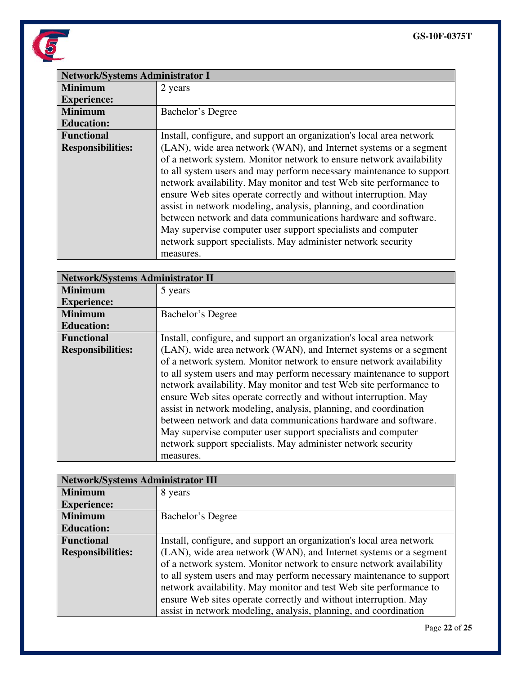

| <b>Network/Systems Administrator I</b> |                                                                                                                                                                                                                                                                                                                                                                                                                                                                                                                                                                                                                                               |
|----------------------------------------|-----------------------------------------------------------------------------------------------------------------------------------------------------------------------------------------------------------------------------------------------------------------------------------------------------------------------------------------------------------------------------------------------------------------------------------------------------------------------------------------------------------------------------------------------------------------------------------------------------------------------------------------------|
| <b>Minimum</b>                         | 2 years                                                                                                                                                                                                                                                                                                                                                                                                                                                                                                                                                                                                                                       |
| <b>Experience:</b>                     |                                                                                                                                                                                                                                                                                                                                                                                                                                                                                                                                                                                                                                               |
| <b>Minimum</b>                         | Bachelor's Degree                                                                                                                                                                                                                                                                                                                                                                                                                                                                                                                                                                                                                             |
| <b>Education:</b>                      |                                                                                                                                                                                                                                                                                                                                                                                                                                                                                                                                                                                                                                               |
| <b>Functional</b>                      | Install, configure, and support an organization's local area network                                                                                                                                                                                                                                                                                                                                                                                                                                                                                                                                                                          |
| <b>Responsibilities:</b>               | (LAN), wide area network (WAN), and Internet systems or a segment<br>of a network system. Monitor network to ensure network availability<br>to all system users and may perform necessary maintenance to support<br>network availability. May monitor and test Web site performance to<br>ensure Web sites operate correctly and without interruption. May<br>assist in network modeling, analysis, planning, and coordination<br>between network and data communications hardware and software.<br>May supervise computer user support specialists and computer<br>network support specialists. May administer network security<br>measures. |

| <b>Network/Systems Administrator II</b> |                                                                                                                                                                                                                                                                                                                                                                                                                                                                                                                                                                                                                                               |
|-----------------------------------------|-----------------------------------------------------------------------------------------------------------------------------------------------------------------------------------------------------------------------------------------------------------------------------------------------------------------------------------------------------------------------------------------------------------------------------------------------------------------------------------------------------------------------------------------------------------------------------------------------------------------------------------------------|
| <b>Minimum</b>                          | 5 years                                                                                                                                                                                                                                                                                                                                                                                                                                                                                                                                                                                                                                       |
| <b>Experience:</b>                      |                                                                                                                                                                                                                                                                                                                                                                                                                                                                                                                                                                                                                                               |
| <b>Minimum</b>                          | Bachelor's Degree                                                                                                                                                                                                                                                                                                                                                                                                                                                                                                                                                                                                                             |
| <b>Education:</b>                       |                                                                                                                                                                                                                                                                                                                                                                                                                                                                                                                                                                                                                                               |
| <b>Functional</b>                       | Install, configure, and support an organization's local area network                                                                                                                                                                                                                                                                                                                                                                                                                                                                                                                                                                          |
| <b>Responsibilities:</b>                | (LAN), wide area network (WAN), and Internet systems or a segment<br>of a network system. Monitor network to ensure network availability<br>to all system users and may perform necessary maintenance to support<br>network availability. May monitor and test Web site performance to<br>ensure Web sites operate correctly and without interruption. May<br>assist in network modeling, analysis, planning, and coordination<br>between network and data communications hardware and software.<br>May supervise computer user support specialists and computer<br>network support specialists. May administer network security<br>measures. |

| <b>Network/Systems Administrator III</b> |                                                                      |
|------------------------------------------|----------------------------------------------------------------------|
| <b>Minimum</b>                           | 8 years                                                              |
| <b>Experience:</b>                       |                                                                      |
| <b>Minimum</b>                           | Bachelor's Degree                                                    |
| <b>Education:</b>                        |                                                                      |
| <b>Functional</b>                        | Install, configure, and support an organization's local area network |
| <b>Responsibilities:</b>                 | (LAN), wide area network (WAN), and Internet systems or a segment    |
|                                          | of a network system. Monitor network to ensure network availability  |
|                                          | to all system users and may perform necessary maintenance to support |
|                                          | network availability. May monitor and test Web site performance to   |
|                                          | ensure Web sites operate correctly and without interruption. May     |
|                                          | assist in network modeling, analysis, planning, and coordination     |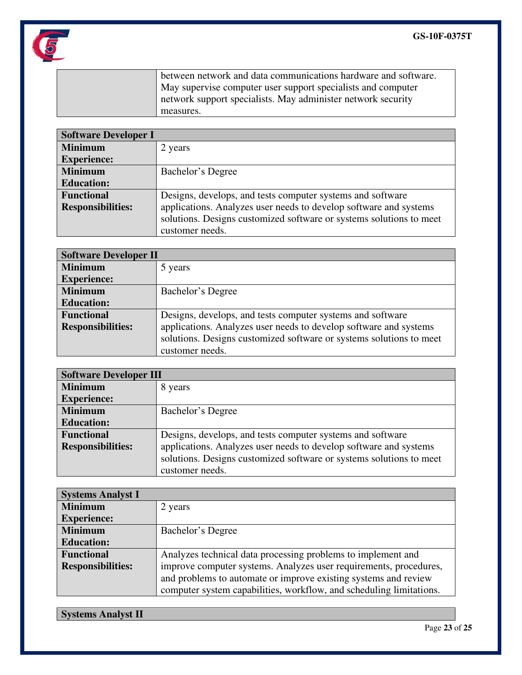

between network and data communications hardware and software. May supervise computer user support specialists and computer network support specialists. May administer network security measures.

| <b>Software Developer I</b> |                                                                     |
|-----------------------------|---------------------------------------------------------------------|
| <b>Minimum</b>              | 2 years                                                             |
| <b>Experience:</b>          |                                                                     |
| <b>Minimum</b>              | Bachelor's Degree                                                   |
| <b>Education:</b>           |                                                                     |
| <b>Functional</b>           | Designs, develops, and tests computer systems and software          |
| <b>Responsibilities:</b>    | applications. Analyzes user needs to develop software and systems   |
|                             | solutions. Designs customized software or systems solutions to meet |
|                             | customer needs.                                                     |

| <b>Software Developer II</b> |                                                                     |
|------------------------------|---------------------------------------------------------------------|
| <b>Minimum</b>               | 5 years                                                             |
| <b>Experience:</b>           |                                                                     |
| <b>Minimum</b>               | Bachelor's Degree                                                   |
| <b>Education:</b>            |                                                                     |
| <b>Functional</b>            | Designs, develops, and tests computer systems and software          |
| <b>Responsibilities:</b>     | applications. Analyzes user needs to develop software and systems   |
|                              | solutions. Designs customized software or systems solutions to meet |
|                              | customer needs.                                                     |

| <b>Software Developer III</b> |                                                                     |
|-------------------------------|---------------------------------------------------------------------|
| <b>Minimum</b>                | 8 years                                                             |
| <b>Experience:</b>            |                                                                     |
| <b>Minimum</b>                | Bachelor's Degree                                                   |
| <b>Education:</b>             |                                                                     |
| <b>Functional</b>             | Designs, develops, and tests computer systems and software          |
| <b>Responsibilities:</b>      | applications. Analyzes user needs to develop software and systems   |
|                               | solutions. Designs customized software or systems solutions to meet |
|                               | customer needs.                                                     |

| <b>Systems Analyst I</b> |                                                                     |
|--------------------------|---------------------------------------------------------------------|
| <b>Minimum</b>           | 2 years                                                             |
| <b>Experience:</b>       |                                                                     |
| <b>Minimum</b>           | Bachelor's Degree                                                   |
| <b>Education:</b>        |                                                                     |
| <b>Functional</b>        | Analyzes technical data processing problems to implement and        |
| <b>Responsibilities:</b> | improve computer systems. Analyzes user requirements, procedures,   |
|                          | and problems to automate or improve existing systems and review     |
|                          | computer system capabilities, workflow, and scheduling limitations. |

**Systems Analyst II**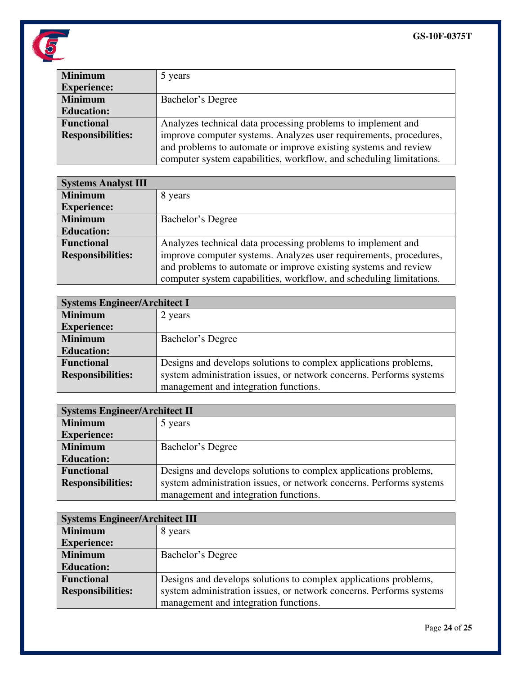

| <b>Minimum</b>           | 5 years                                                             |
|--------------------------|---------------------------------------------------------------------|
| <b>Experience:</b>       |                                                                     |
| <b>Minimum</b>           | Bachelor's Degree                                                   |
| <b>Education:</b>        |                                                                     |
| <b>Functional</b>        | Analyzes technical data processing problems to implement and        |
| <b>Responsibilities:</b> | improve computer systems. Analyzes user requirements, procedures,   |
|                          | and problems to automate or improve existing systems and review     |
|                          | computer system capabilities, workflow, and scheduling limitations. |

| <b>Systems Analyst III</b> |                                                                     |
|----------------------------|---------------------------------------------------------------------|
| <b>Minimum</b>             | 8 years                                                             |
| <b>Experience:</b>         |                                                                     |
| <b>Minimum</b>             | Bachelor's Degree                                                   |
| <b>Education:</b>          |                                                                     |
| <b>Functional</b>          | Analyzes technical data processing problems to implement and        |
| <b>Responsibilities:</b>   | improve computer systems. Analyzes user requirements, procedures,   |
|                            | and problems to automate or improve existing systems and review     |
|                            | computer system capabilities, workflow, and scheduling limitations. |

| <b>Systems Engineer/Architect I</b> |                                                                     |
|-------------------------------------|---------------------------------------------------------------------|
| <b>Minimum</b>                      | 2 years                                                             |
| <b>Experience:</b>                  |                                                                     |
| <b>Minimum</b>                      | Bachelor's Degree                                                   |
| <b>Education:</b>                   |                                                                     |
| <b>Functional</b>                   | Designs and develops solutions to complex applications problems,    |
| <b>Responsibilities:</b>            | system administration issues, or network concerns. Performs systems |
|                                     | management and integration functions.                               |

| <b>Systems Engineer/Architect II</b> |                                                                     |
|--------------------------------------|---------------------------------------------------------------------|
| <b>Minimum</b>                       | 5 years                                                             |
| <b>Experience:</b>                   |                                                                     |
| <b>Minimum</b>                       | Bachelor's Degree                                                   |
| <b>Education:</b>                    |                                                                     |
| <b>Functional</b>                    | Designs and develops solutions to complex applications problems,    |
| <b>Responsibilities:</b>             | system administration issues, or network concerns. Performs systems |
|                                      | management and integration functions.                               |

| <b>Systems Engineer/Architect III</b> |                                                                     |
|---------------------------------------|---------------------------------------------------------------------|
| <b>Minimum</b>                        | 8 years                                                             |
| <b>Experience:</b>                    |                                                                     |
| <b>Minimum</b>                        | Bachelor's Degree                                                   |
| <b>Education:</b>                     |                                                                     |
| <b>Functional</b>                     | Designs and develops solutions to complex applications problems,    |
| <b>Responsibilities:</b>              | system administration issues, or network concerns. Performs systems |
|                                       | management and integration functions.                               |